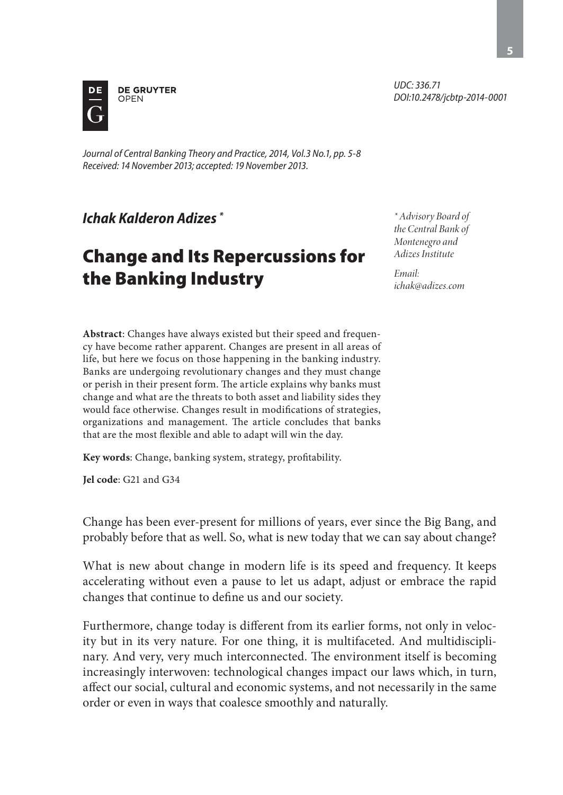*UDC: 336.71 DOI:10.2478/jcbtp-2014-0001*



*Journal of Central Banking Theory and Practice, 2014, Vol.3 No.1, pp. 5-8 Received: 14 November 2013; accepted: 19 November 2013.*

## *Ichak Kalderon Adizes \**

## Change and Its Repercussions for the Banking Industry

*\* Advisory Board of the Central Bank of Montenegro and Adizes Institute*

*Email: ichak@adizes.com* 

**Abstract**: Changes have always existed but their speed and frequency have become rather apparent. Changes are present in all areas of life, but here we focus on those happening in the banking industry. Banks are undergoing revolutionary changes and they must change or perish in their present form. The article explains why banks must change and what are the threats to both asset and liability sides they would face otherwise. Changes result in modifications of strategies, organizations and management. The article concludes that banks that are the most flexible and able to adapt will win the day.

**Key words**: Change, banking system, strategy, profitability.

**Jel code**: G21 and G34

Change has been ever-present for millions of years, ever since the Big Bang, and probably before that as well. So, what is new today that we can say about change?

What is new about change in modern life is its speed and frequency. It keeps accelerating without even a pause to let us adapt, adjust or embrace the rapid changes that continue to define us and our society.

Furthermore, change today is different from its earlier forms, not only in velocity but in its very nature. For one thing, it is multifaceted. And multidisciplinary. And very, very much interconnected. The environment itself is becoming increasingly interwoven: technological changes impact our laws which, in turn, affect our social, cultural and economic systems, and not necessarily in the same order or even in ways that coalesce smoothly and naturally.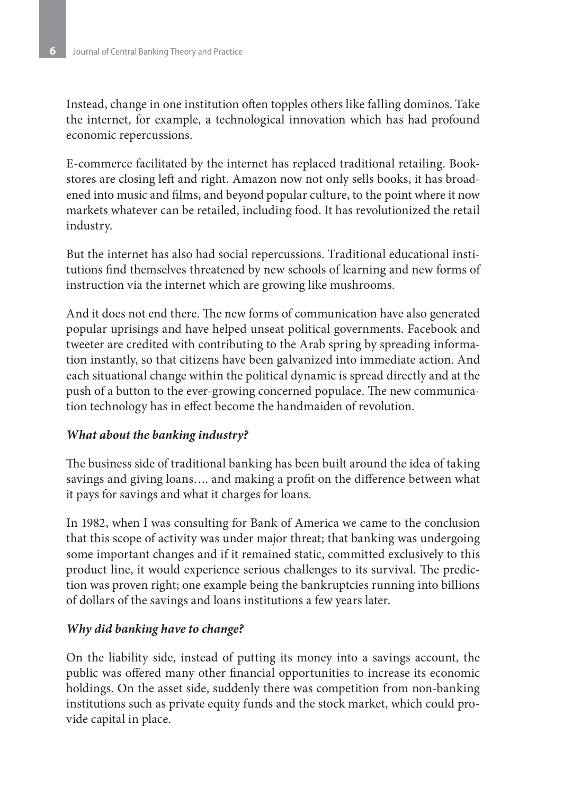Instead, change in one institution often topples others like falling dominos. Take the internet, for example, a technological innovation which has had profound economic repercussions.

E-commerce facilitated by the internet has replaced traditional retailing. Bookstores are closing left and right. Amazon now not only sells books, it has broadened into music and films, and beyond popular culture, to the point where it now markets whatever can be retailed, including food. It has revolutionized the retail industry.

But the internet has also had social repercussions. Traditional educational institutions find themselves threatened by new schools of learning and new forms of instruction via the internet which are growing like mushrooms.

And it does not end there. The new forms of communication have also generated popular uprisings and have helped unseat political governments. Facebook and tweeter are credited with contributing to the Arab spring by spreading information instantly, so that citizens have been galvanized into immediate action. And each situational change within the political dynamic is spread directly and at the push of a button to the ever-growing concerned populace. The new communication technology has in effect become the handmaiden of revolution.

## *What about the banking industry?*

The business side of traditional banking has been built around the idea of taking savings and giving loans…. and making a profit on the difference between what it pays for savings and what it charges for loans.

In 1982, when I was consulting for Bank of America we came to the conclusion that this scope of activity was under major threat; that banking was undergoing some important changes and if it remained static, committed exclusively to this product line, it would experience serious challenges to its survival. The prediction was proven right; one example being the bankruptcies running into billions of dollars of the savings and loans institutions a few years later.

## *Why did banking have to change?*

On the liability side, instead of putting its money into a savings account, the public was offered many other financial opportunities to increase its economic holdings. On the asset side, suddenly there was competition from non-banking institutions such as private equity funds and the stock market, which could provide capital in place.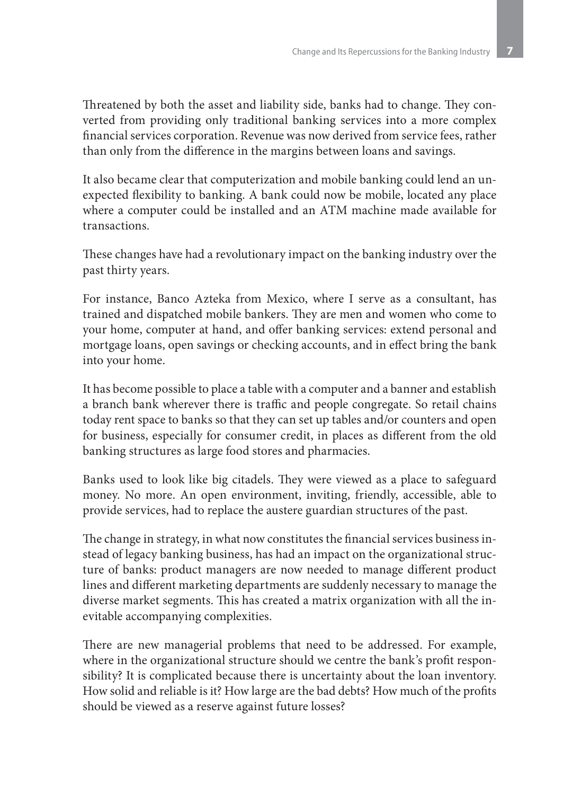Threatened by both the asset and liability side, banks had to change. They converted from providing only traditional banking services into a more complex financial services corporation. Revenue was now derived from service fees, rather than only from the difference in the margins between loans and savings.

It also became clear that computerization and mobile banking could lend an unexpected flexibility to banking. A bank could now be mobile, located any place where a computer could be installed and an ATM machine made available for transactions.

These changes have had a revolutionary impact on the banking industry over the past thirty years.

For instance, Banco Azteka from Mexico, where I serve as a consultant, has trained and dispatched mobile bankers. They are men and women who come to your home, computer at hand, and offer banking services: extend personal and mortgage loans, open savings or checking accounts, and in effect bring the bank into your home.

It has become possible to place a table with a computer and a banner and establish a branch bank wherever there is traffic and people congregate. So retail chains today rent space to banks so that they can set up tables and/or counters and open for business, especially for consumer credit, in places as different from the old banking structures as large food stores and pharmacies.

Banks used to look like big citadels. They were viewed as a place to safeguard money. No more. An open environment, inviting, friendly, accessible, able to provide services, had to replace the austere guardian structures of the past.

The change in strategy, in what now constitutes the financial services business instead of legacy banking business, has had an impact on the organizational structure of banks: product managers are now needed to manage different product lines and different marketing departments are suddenly necessary to manage the diverse market segments. This has created a matrix organization with all the inevitable accompanying complexities.

There are new managerial problems that need to be addressed. For example, where in the organizational structure should we centre the bank's profit responsibility? It is complicated because there is uncertainty about the loan inventory. How solid and reliable is it? How large are the bad debts? How much of the profits should be viewed as a reserve against future losses?